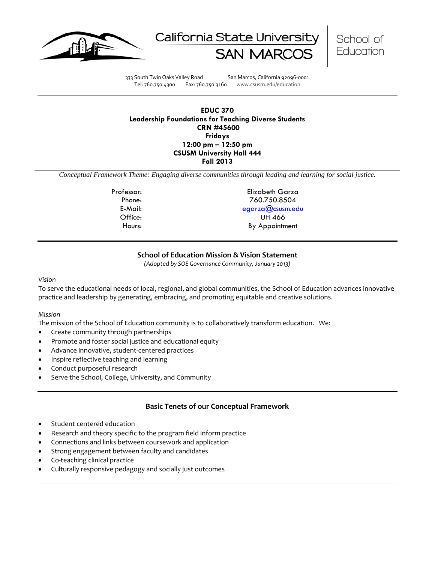





333 South Twin Oaks Valley Road San Marcos, California 92096-0001 Tel: 760.750.4300 Fax: 760.750.3160 www.csusm.edu/education

# **EDUC 370 Leadership Foundations for Teaching Diverse Students CRN #45600 Fridays 12:00 pm – 12:50 pm CSUSM University Hall 444 Fall 2013**

*Conceptual Framework Theme: Engaging diverse communities through leading and learning for social justice.*

Professor: Elizabeth Garza Phone: 760.750.8504 E-Mail: [egarza@csusm.edu](mailto:egarza@csusm.edu) Office: UH 466 Hours: By Appointment

# **School of Education Mission & Vision Statement**

*(Adopted by SOE Governance Community, January 2013)*

#### *Vision*

To serve the educational needs of local, regional, and global communities, the School of Education advances innovative practice and leadership by generating, embracing, and promoting equitable and creative solutions.

#### *Mission*

The mission of the School of Education community is to collaboratively transform education. We:

- Create community through partnerships
- Promote and foster social justice and educational equity
- Advance innovative, student-centered practices
- Inspire reflective teaching and learning
- Conduct purposeful research
- Serve the School, College, University, and Community

# **Basic Tenets of our Conceptual Framework**

- Student centered education
- Research and theory specific to the program field inform practice
- Connections and links between coursework and application
- Strong engagement between faculty and candidates
- Co-teaching clinical practice
- Culturally responsive pedagogy and socially just outcomes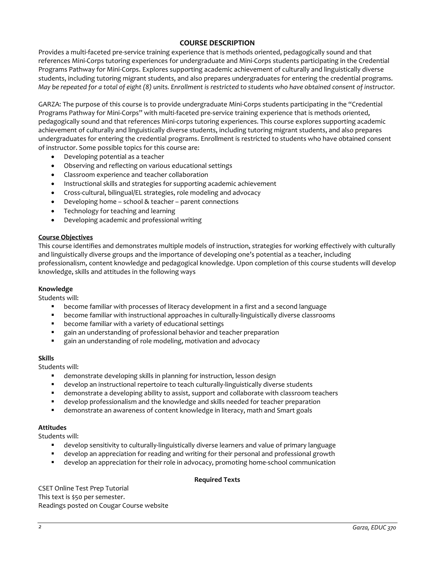# **COURSE DESCRIPTION**

Provides a multi-faceted pre-service training experience that is methods oriented, pedagogically sound and that references Mini-Corps tutoring experiences for undergraduate and Mini-Corps students participating in the Credential Programs Pathway for Mini-Corps. Explores supporting academic achievement of culturally and linguistically diverse students, including tutoring migrant students, and also prepares undergraduates for entering the credential programs. *May be repeated for a total of eight (8) units. Enrollment is restricted to students who have obtained consent of instructor.*

GARZA: The purpose of this course is to provide undergraduate Mini-Corps students participating in the "Credential Programs Pathway for Mini-Corps" with multi-faceted pre-service training experience that is methods oriented, pedagogically sound and that references Mini-corps tutoring experiences. This course explores supporting academic achievement of culturally and linguistically diverse students, including tutoring migrant students, and also prepares undergraduates for entering the credential programs. Enrollment is restricted to students who have obtained consent of instructor. Some possible topics for this course are:

- Developing potential as a teacher
- Observing and reflecting on various educational settings
- Classroom experience and teacher collaboration
- Instructional skills and strategies for supporting academic achievement
- Cross-cultural, bilingual/EL strategies, role modeling and advocacy
- Developing home school & teacher parent connections
- Technology for teaching and learning
- Developing academic and professional writing

#### **Course Objectives**

This course identifies and demonstrates multiple models of instruction, strategies for working effectively with culturally and linguistically diverse groups and the importance of developing one's potential as a teacher, including professionalism, content knowledge and pedagogical knowledge. Upon completion of this course students will develop knowledge, skills and attitudes in the following ways

# **Knowledge**

Students will:

- become familiar with processes of literacy development in a first and a second language
- become familiar with instructional approaches in culturally-linguistically diverse classrooms
- become familiar with a variety of educational settings
- gain an understanding of professional behavior and teacher preparation
- gain an understanding of role modeling, motivation and advocacy

#### **Skills**

Students will:

- demonstrate developing skills in planning for instruction, lesson design
- develop an instructional repertoire to teach culturally-linguistically diverse students
- demonstrate a developing ability to assist, support and collaborate with classroom teachers
- develop professionalism and the knowledge and skills needed for teacher preparation
- demonstrate an awareness of content knowledge in literacy, math and Smart goals

#### **Attitudes**

Students will:

- develop sensitivity to culturally-linguistically diverse learners and value of primary language
- develop an appreciation for reading and writing for their personal and professional growth
- develop an appreciation for their role in advocacy, promoting home-school communication

#### **Required Texts**

CSET Online Test Prep Tutorial This text is \$50 per semester. Readings posted on Cougar Course website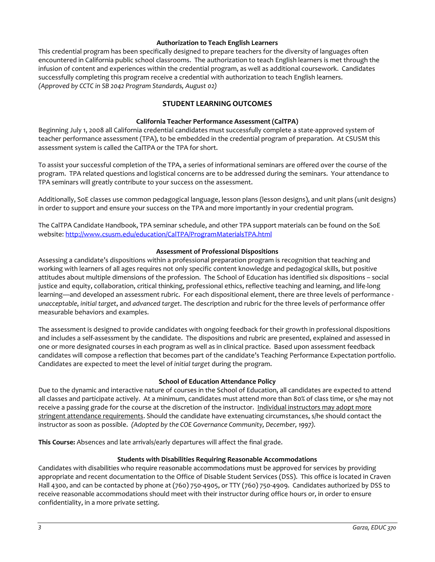#### **Authorization to Teach English Learners**

This credential program has been specifically designed to prepare teachers for the diversity of languages often encountered in California public school classrooms. The authorization to teach English learners is met through the infusion of content and experiences within the credential program, as well as additional coursework. Candidates successfully completing this program receive a credential with authorization to teach English learners. *(Approved by CCTC in SB 2042 Program Standards, August 02)*

# **STUDENT LEARNING OUTCOMES**

## **California Teacher Performance Assessment (CalTPA)**

Beginning July 1, 2008 all California credential candidates must successfully complete a state-approved system of teacher performance assessment (TPA), to be embedded in the credential program of preparation. At CSUSM this assessment system is called the CalTPA or the TPA for short.

To assist your successful completion of the TPA, a series of informational seminars are offered over the course of the program. TPA related questions and logistical concerns are to be addressed during the seminars. Your attendance to TPA seminars will greatly contribute to your success on the assessment.

Additionally, SoE classes use common pedagogical language, lesson plans (lesson designs), and unit plans (unit designs) in order to support and ensure your success on the TPA and more importantly in your credential program.

The CalTPA Candidate Handbook, TPA seminar schedule, and other TPA support materials can be found on the SoE website: <http://www.csusm.edu/education/CalTPA/ProgramMaterialsTPA.html>

#### **Assessment of Professional Dispositions**

Assessing a candidate's dispositions within a professional preparation program is recognition that teaching and working with learners of all ages requires not only specific content knowledge and pedagogical skills, but positive attitudes about multiple dimensions of the profession. The School of Education has identified six dispositions – social justice and equity, collaboration, critical thinking, professional ethics, reflective teaching and learning, and life-long learning—and developed an assessment rubric. For each dispositional element, there are three levels of performance *unacceptable*, *initial target*, and *advanced target*. The description and rubric for the three levels of performance offer measurable behaviors and examples.

The assessment is designed to provide candidates with ongoing feedback for their growth in professional dispositions and includes a self-assessment by the candidate. The dispositions and rubric are presented, explained and assessed in one or more designated courses in each program as well as in clinical practice. Based upon assessment feedback candidates will compose a reflection that becomes part of the candidate's Teaching Performance Expectation portfolio. Candidates are expected to meet the level of *initial target* during the program.

#### **School of Education Attendance Policy**

Due to the dynamic and interactive nature of courses in the School of Education, all candidates are expected to attend all classes and participate actively. At a minimum, candidates must attend more than 80% of class time, or s/he may not receive a passing grade for the course at the discretion of the instructor. Individual instructors may adopt more stringent attendance requirements. Should the candidate have extenuating circumstances, s/he should contact the instructor as soon as possible. *(Adopted by the COE Governance Community, December, 1997).*

**This Course:** Absences and late arrivals/early departures will affect the final grade.

#### **Students with Disabilities Requiring Reasonable Accommodations**

Candidates with disabilities who require reasonable accommodations must be approved for services by providing appropriate and recent documentation to the Office of Disable Student Services (DSS). This office is located in Craven Hall 4300, and can be contacted by phone at (760) 750-4905, or TTY (760) 750-4909. Candidates authorized by DSS to receive reasonable accommodations should meet with their instructor during office hours or, in order to ensure confidentiality, in a more private setting.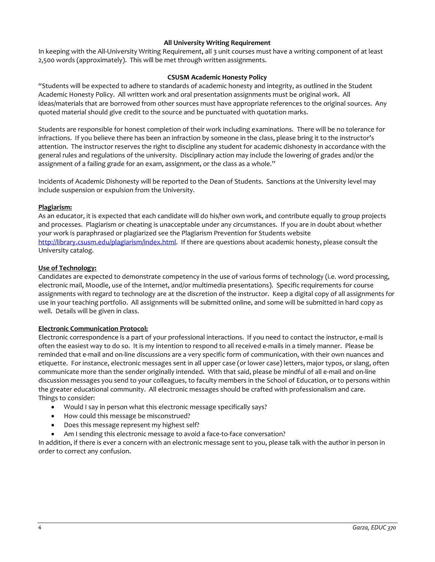## **All University Writing Requirement**

In keeping with the All-University Writing Requirement, all 3 unit courses must have a writing component of at least 2,500 words (approximately). This will be met through written assignments.

#### **CSUSM Academic Honesty Policy**

"Students will be expected to adhere to standards of academic honesty and integrity, as outlined in the Student Academic Honesty Policy. All written work and oral presentation assignments must be original work. All ideas/materials that are borrowed from other sources must have appropriate references to the original sources. Any quoted material should give credit to the source and be punctuated with quotation marks.

Students are responsible for honest completion of their work including examinations. There will be no tolerance for infractions. If you believe there has been an infraction by someone in the class, please bring it to the instructor's attention. The instructor reserves the right to discipline any student for academic dishonesty in accordance with the general rules and regulations of the university. Disciplinary action may include the lowering of grades and/or the assignment of a failing grade for an exam, assignment, or the class as a whole."

Incidents of Academic Dishonesty will be reported to the Dean of Students. Sanctions at the University level may include suspension or expulsion from the University.

#### **Plagiarism:**

As an educator, it is expected that each candidate will do his/her own work, and contribute equally to group projects and processes. Plagiarism or cheating is unacceptable under any circumstances. If you are in doubt about whether your work is paraphrased or plagiarized see the Plagiarism Prevention for Students website [http://library.csusm.edu/plagiarism/index.html.](http://library.csusm.edu/plagiarism/index.html) If there are questions about academic honesty, please consult the University catalog.

#### **Use of Technology:**

Candidates are expected to demonstrate competency in the use of various forms of technology (i.e. word processing, electronic mail, Moodle, use of the Internet, and/or multimedia presentations). Specific requirements for course assignments with regard to technology are at the discretion of the instructor. Keep a digital copy of all assignments for use in your teaching portfolio. All assignments will be submitted online, and some will be submitted in hard copy as well. Details will be given in class.

#### **Electronic Communication Protocol:**

Electronic correspondence is a part of your professional interactions. If you need to contact the instructor, e-mail is often the easiest way to do so. It is my intention to respond to all received e-mails in a timely manner. Please be reminded that e-mail and on-line discussions are a very specific form of communication, with their own nuances and etiquette. For instance, electronic messages sent in all upper case (or lower case) letters, major typos, or slang, often communicate more than the sender originally intended. With that said, please be mindful of all e-mail and on-line discussion messages you send to your colleagues, to faculty members in the School of Education, or to persons within the greater educational community. All electronic messages should be crafted with professionalism and care. Things to consider:

- Would I say in person what this electronic message specifically says?
- How could this message be misconstrued?
- Does this message represent my highest self?
- Am I sending this electronic message to avoid a face-to-face conversation?

In addition, if there is ever a concern with an electronic message sent to you, please talk with the author in person in order to correct any confusion.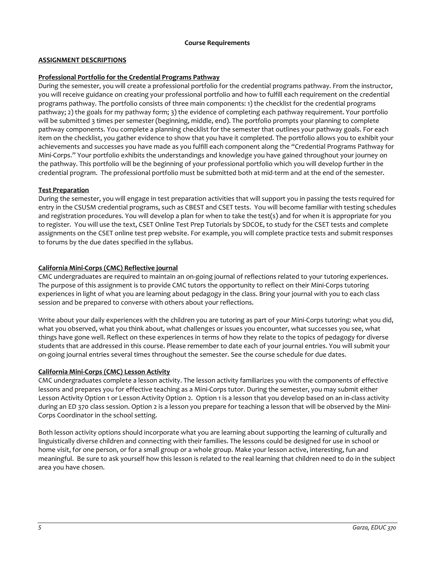## **Course Requirements**

# **ASSIGNMENT DESCRIPTIONS**

## **Professional Portfolio for the Credential Programs Pathway**

During the semester, you will create a professional portfolio for the credential programs pathway. From the instructor, you will receive guidance on creating your professional portfolio and how to fulfill each requirement on the credential programs pathway. The portfolio consists of three main components: 1) the checklist for the credential programs pathway; 2) the goals for my pathway form; 3) the evidence of completing each pathway requirement. Your portfolio will be submitted 3 times per semester (beginning, middle, end). The portfolio prompts your planning to complete pathway components. You complete a planning checklist for the semester that outlines your pathway goals. For each item on the checklist, you gather evidence to show that you have it completed. The portfolio allows you to exhibit your achievements and successes you have made as you fulfill each component along the "Credential Programs Pathway for Mini-Corps." Your portfolio exhibits the understandings and knowledge you have gained throughout your journey on the pathway. This portfolio will be the beginning of your professional portfolio which you will develop further in the credential program. The professional portfolio must be submitted both at mid-term and at the end of the semester.

## **Test Preparation**

During the semester, you will engage in test preparation activities that will support you in passing the tests required for entry in the CSUSM credential programs, such as CBEST and CSET tests. You will become familiar with testing schedules and registration procedures. You will develop a plan for when to take the test(s) and for when it is appropriate for you to register. You will use the text, CSET Online Test Prep Tutorials by SDCOE, to study for the CSET tests and complete assignments on the CSET online test prep website. For example, you will complete practice tests and submit responses to forums by the due dates specified in the syllabus.

## **California Mini-Corps (CMC) Reflective journal**

CMC undergraduates are required to maintain an on-going journal of reflections related to your tutoring experiences. The purpose of this assignment is to provide CMC tutors the opportunity to reflect on their Mini-Corps tutoring experiences in light of what you are learning about pedagogy in the class. Bring your journal with you to each class session and be prepared to converse with others about your reflections.

Write about your daily experiences with the children you are tutoring as part of your Mini-Corps tutoring: what you did, what you observed, what you think about, what challenges or issues you encounter, what successes you see, what things have gone well. Reflect on these experiences in terms of how they relate to the topics of pedagogy for diverse students that are addressed in this course. Please remember to date each of your journal entries. You will submit your on-going journal entries several times throughout the semester. See the course schedule for due dates.

#### **California Mini-Corps (CMC) Lesson Activity**

CMC undergraduates complete a lesson activity. The lesson activity familiarizes you with the components of effective lessons and prepares you for effective teaching as a Mini-Corps tutor. During the semester, you may submit either Lesson Activity Option 1 or Lesson Activity Option 2. Option 1 is a lesson that you develop based on an in-class activity during an ED 370 class session. Option 2 is a lesson you prepare for teaching a lesson that will be observed by the Mini-Corps Coordinator in the school setting.

Both lesson activity options should incorporate what you are learning about supporting the learning of culturally and linguistically diverse children and connecting with their families. The lessons could be designed for use in school or home visit, for one person, or for a small group or a whole group. Make your lesson active, interesting, fun and meaningful. Be sure to ask yourself how this lesson is related to the real learning that children need to do in the subject area you have chosen.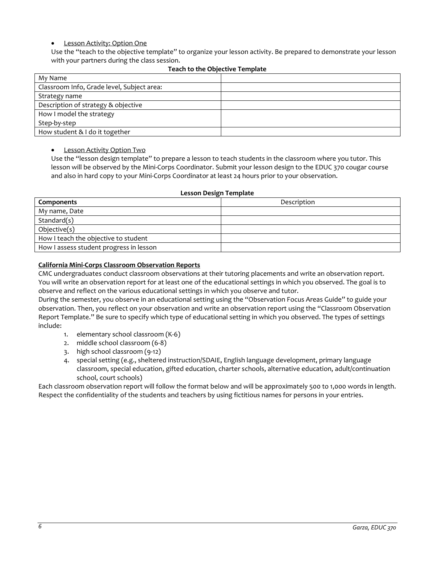# • Lesson Activity: Option One

Use the "teach to the objective template" to organize your lesson activity. Be prepared to demonstrate your lesson with your partners during the class session.

| My Name                                    |  |
|--------------------------------------------|--|
| Classroom Info, Grade level, Subject area: |  |
| Strategy name                              |  |
| Description of strategy & objective        |  |
| How I model the strategy                   |  |
| Step-by-step                               |  |
| How student & I do it together             |  |

## **Teach to the Objective Template**

**Lesson Activity Option Two** 

Use the "lesson design template" to prepare a lesson to teach students in the classroom where you tutor. This lesson will be observed by the Mini-Corps Coordinator. Submit your lesson design to the EDUC 370 cougar course and also in hard copy to your Mini-Corps Coordinator at least 24 hours prior to your observation.

#### **Lesson Design Template**

| Components                              | Description |
|-----------------------------------------|-------------|
| My name, Date                           |             |
| Standard(s)                             |             |
| Objective(s)                            |             |
| How I teach the objective to student    |             |
| How I assess student progress in lesson |             |

#### **California Mini-Corps Classroom Observation Reports**

CMC undergraduates conduct classroom observations at their tutoring placements and write an observation report. You will write an observation report for at least one of the educational settings in which you observed. The goal is to observe and reflect on the various educational settings in which you observe and tutor.

During the semester, you observe in an educational setting using the "Observation Focus Areas Guide" to guide your observation. Then, you reflect on your observation and write an observation report using the "Classroom Observation Report Template." Be sure to specify which type of educational setting in which you observed. The types of settings include:

- 1. elementary school classroom (K-6)
- 2. middle school classroom (6-8)
- 3. high school classroom (9-12)
- 4. special setting (e.g., sheltered instruction/SDAIE, English language development, primary language classroom, special education, gifted education, charter schools, alternative education, adult/continuation school, court schools)

Each classroom observation report will follow the format below and will be approximately 500 to 1,000 words in length. Respect the confidentiality of the students and teachers by using fictitious names for persons in your entries.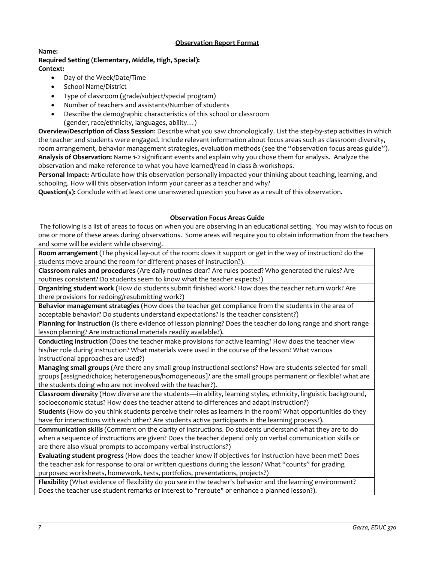# **Observation Report Format**

#### **Name: Required Setting (Elementary, Middle, High, Special): Context:**

- Day of the Week/Date/Time
- School Name/District
- Type of classroom (grade/subject/special program)
- Number of teachers and assistants/Number of students
- Describe the demographic characteristics of this school or classroom (gender, race/ethnicity, languages, ability…)

**Overview/Description of Class Session**: Describe what you saw chronologically. List the step-by-step activities in which the teacher and students were engaged. Include relevant information about focus areas such as classroom diversity, room arrangement, behavior management strategies, evaluation methods (see the "observation focus areas guide"). **Analysis of Observation:** Name 1-2 significant events and explain why you chose them for analysis. Analyze the observation and make reference to what you have learned/read in class & workshops.

**Personal Impact:** Articulate how this observation personally impacted your thinking about teaching, learning, and schooling. How will this observation inform your career as a teacher and why?

**Question(s):** Conclude with at least one unanswered question you have as a result of this observation.

## **Observation Focus Areas Guide**

The following is a list of areas to focus on when you are observing in an educational setting. You may wish to focus on one or more of these areas during observations. Some areas will require you to obtain information from the teachers and some will be evident while observing.

**Room arrangement** (The physical lay-out of the room: does it support or get in the way of instruction? do the students move around the room for different phases of instruction?).

**Classroom rules and procedures** (Are daily routines clear? Are rules posted? Who generated the rules? Are routines consistent? Do students seem to know what the teacher expects?)

**Organizing student work** (How do students submit finished work? How does the teacher return work? Are there provisions for redoing/resubmitting work?)

**Behavior management strategies** (How does the teacher get compliance from the students in the area of acceptable behavior? Do students understand expectations? Is the teacher consistent?)

**Planning for instruction** (Is there evidence of lesson planning? Does the teacher do long range and short range lesson planning? Are instructional materials readily available?).

**Conducting instruction** (Does the teacher make provisions for active learning? How does the teacher view his/her role during instruction? What materials were used in the course of the lesson? What various instructional approaches are used?)

**Managing small groups** (Are there any small group instructional sections? How are students selected for small groups [assigned/choice; heterogeneous/homogeneous]? are the small groups permanent or flexible? what are the students doing who are not involved with the teacher?).

**Classroom diversity** (How diverse are the students—in ability, learning styles, ethnicity, linguistic background, socioeconomic status? How does the teacher attend to differences and adapt instruction?)

**Students** (How do you think students perceive their roles as learners in the room? What opportunities do they have for interactions with each other? Are students active participants in the learning process?).

**Communication skills** (Comment on the clarity of instructions. Do students understand what they are to do when a sequence of instructions are given? Does the teacher depend only on verbal communication skills or are there also visual prompts to accompany verbal instructions?)

**Evaluating student progress** (How does the teacher know if objectives for instruction have been met? Does the teacher ask for response to oral or written questions during the lesson? What "counts" for grading purposes: worksheets, homework, tests, portfolios, presentations, projects?)

**Flexibility** (What evidence of flexibility do you see in the teacher's behavior and the learning environment? Does the teacher use student remarks or interest to "reroute" or enhance a planned lesson?).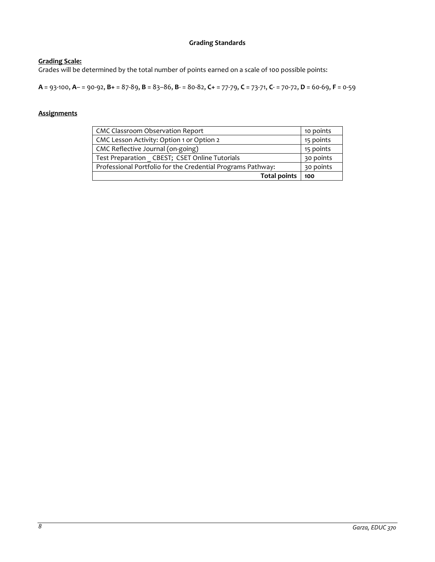# **Grading Standards**

# **Grading Scale:**

Grades will be determined by the total number of points earned on a scale of 100 possible points:

**A** = 93-100, **A**– = 90-92, **B+** = 87-89, **B** = 83–86, **B**- = 80-82, **C+** = 77-79, **C** = 73-71, **C**- = 70-72, **D** = 60-69, **F** = 0-59

# **Assignments**

| <b>CMC Classroom Observation Report</b>                     | 10 points |
|-------------------------------------------------------------|-----------|
| CMC Lesson Activity: Option 1 or Option 2                   | 15 points |
| CMC Reflective Journal (on-going)                           | 15 points |
| Test Preparation CBEST; CSET Online Tutorials               | 30 points |
| Professional Portfolio for the Credential Programs Pathway: | 30 points |
| <b>Total points</b>                                         | 100       |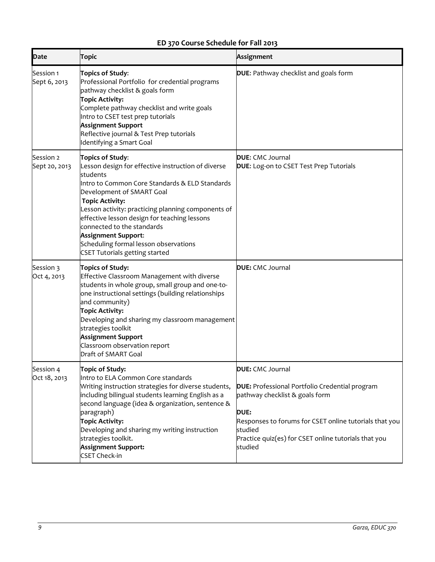# **ED 370 Course Schedule for Fall 2013**

| <b>Date</b>                | <b>Topic</b>                                                                                                                                                                                                                                                                                                                                                                                                                                    | Assignment                                                                                                                                                                                                                                                         |
|----------------------------|-------------------------------------------------------------------------------------------------------------------------------------------------------------------------------------------------------------------------------------------------------------------------------------------------------------------------------------------------------------------------------------------------------------------------------------------------|--------------------------------------------------------------------------------------------------------------------------------------------------------------------------------------------------------------------------------------------------------------------|
| Session 1<br>Sept 6, 2013  | Topics of Study:<br>Professional Portfolio for credential programs<br>pathway checklist & goals form<br><b>Topic Activity:</b><br>Complete pathway checklist and write goals<br>Intro to CSET test prep tutorials<br><b>Assignment Support</b><br>Reflective journal & Test Prep tutorials<br>Identifying a Smart Goal                                                                                                                          | DUE: Pathway checklist and goals form                                                                                                                                                                                                                              |
| Session 2<br>Sept 20, 2013 | Topics of Study:<br>Lesson design for effective instruction of diverse<br>students<br>Intro to Common Core Standards & ELD Standards<br>Development of SMART Goal<br><b>Topic Activity:</b><br>Lesson activity: practicing planning components of<br>effective lesson design for teaching lessons<br>connected to the standards<br><b>Assignment Support:</b><br>Scheduling formal lesson observations<br><b>CSET Tutorials getting started</b> | <b>DUE:</b> CMC Journal<br>DUE: Log-on to CSET Test Prep Tutorials                                                                                                                                                                                                 |
| Session 3<br>Oct 4, 2013   | Topics of Study:<br>Effective Classroom Management with diverse<br>students in whole group, small group and one-to-<br>one instructional settings (building relationships<br>and community)<br><b>Topic Activity:</b><br>Developing and sharing my classroom management<br>strategies toolkit<br><b>Assignment Support</b><br>Classroom observation report<br>Draft of SMART Goal                                                               | <b>DUE:</b> CMC Journal                                                                                                                                                                                                                                            |
| Session 4<br>Oct 18, 2013  | Topic of Study:<br>Intro to ELA Common Core standards<br>Writing instruction strategies for diverse students,<br>including bilingual students learning English as a<br>second language (idea & organization, sentence &<br>paragraph)<br><b>Topic Activity:</b><br>Developing and sharing my writing instruction<br>strategies toolkit.<br><b>Assignment Support:</b><br><b>CSET Check-in</b>                                                   | <b>DUE:</b> CMC Journal<br>DUE: Professional Portfolio Credential program<br>pathway checklist & goals form<br><b>DUE:</b><br>Responses to forums for CSET online tutorials that you<br>studied<br>Practice quiz(es) for CSET online tutorials that you<br>studied |